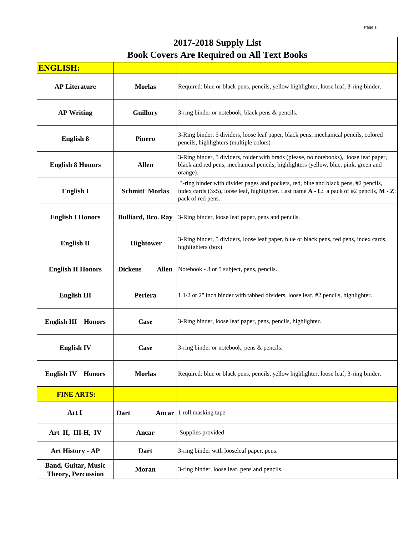| 2017-2018 Supply List                                   |                                |                                                                                                                                                                                                             |
|---------------------------------------------------------|--------------------------------|-------------------------------------------------------------------------------------------------------------------------------------------------------------------------------------------------------------|
| <b>Book Covers Are Required on All Text Books</b>       |                                |                                                                                                                                                                                                             |
| <b>ENGLISH:</b>                                         |                                |                                                                                                                                                                                                             |
| <b>AP Literature</b>                                    | <b>Morlas</b>                  | Required: blue or black pens, pencils, yellow highlighter, loose leaf, 3-ring binder.                                                                                                                       |
| <b>AP Writing</b>                                       | Guillory                       | 3-ring binder or notebook, black pens & pencils.                                                                                                                                                            |
| <b>English 8</b>                                        | <b>Pinero</b>                  | 3-Ring binder, 5 dividers, loose leaf paper, black pens, mechanical pencils, colored<br>pencils, highlighters (multiple colors)                                                                             |
| <b>English 8 Honors</b>                                 | <b>Allen</b>                   | 3-Ring binder, 5 dividers, folder with brads (please, no notebooks), loose leaf paper,<br>black and red pens, mechanical pencils, highlighters (yellow, blue, pink, green and<br>orange).                   |
| <b>English I</b>                                        | <b>Schmitt Morlas</b>          | 3-ring binder with divider pages and pockets, red, blue and black pens, #2 pencils,<br>index cards (3x5), loose leaf, highlighter. Last name $A - L$ : a pack of #2 pencils, $M - Z$ :<br>pack of red pens. |
| <b>English I Honors</b>                                 | <b>Bulliard, Bro. Ray</b>      | 3-Ring binder, loose leaf paper, pens and pencils.                                                                                                                                                          |
| <b>English II</b>                                       | <b>Hightower</b>               | 3-Ring binder, 5 dividers, loose leaf paper, blue or black pens, red pens, index cards,<br>highlighters (box)                                                                                               |
| <b>English II Honors</b>                                | <b>Dickens</b><br><b>Allen</b> | Notebook - 3 or 5 subject, pens, pencils.                                                                                                                                                                   |
| <b>English III</b>                                      | Periera                        | 1 1/2 or 2" inch binder with tabbed dividers, loose leaf, #2 pencils, highlighter.                                                                                                                          |
| <b>English III</b><br><b>Honors</b>                     | <b>Case</b>                    | 3-Ring binder, loose leaf paper, pens, pencils, highlighter.                                                                                                                                                |
| <b>English IV</b>                                       | <b>Case</b>                    | 3-ring binder or notebook, pens & pencils.                                                                                                                                                                  |
| <b>English IV</b><br><b>Honors</b>                      | <b>Morlas</b>                  | Required: blue or black pens, pencils, yellow highlighter, loose leaf, 3-ring binder.                                                                                                                       |
| <b>FINE ARTS:</b>                                       |                                |                                                                                                                                                                                                             |
| Art I                                                   | Dart<br>Ancar                  | 1 roll masking tape                                                                                                                                                                                         |
| Art II, III-H, IV                                       | Ancar                          | Supplies provided                                                                                                                                                                                           |
| <b>Art History - AP</b>                                 | Dart                           | 3-ring binder with looseleaf paper, pens.                                                                                                                                                                   |
| <b>Band, Guitar, Music</b><br><b>Theory, Percussion</b> | Moran                          | 3-ring binder, loose leaf, pens and pencils.                                                                                                                                                                |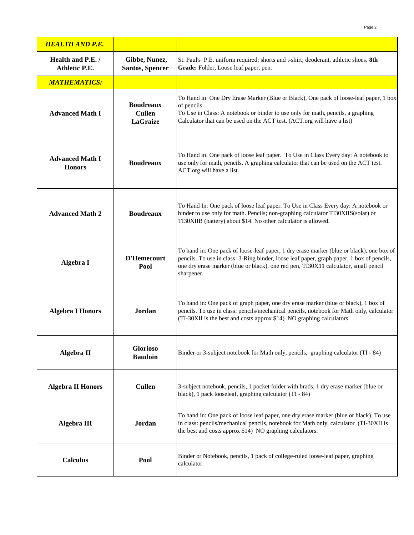| <b>HEALTH AND P.E.</b>                    |                                                      |                                                                                                                                                                                                                                                                                            |
|-------------------------------------------|------------------------------------------------------|--------------------------------------------------------------------------------------------------------------------------------------------------------------------------------------------------------------------------------------------------------------------------------------------|
| Health and P.E. /<br><b>Athletic P.E.</b> | Gibbe, Nunez,<br><b>Santos, Spencer</b>              | St. Paul's P.E. uniform required: shorts and t-shirt; deoderant, athletic shoes. 8th<br>Grade: Folder, Loose leaf paper, pen.                                                                                                                                                              |
| <b>MATHEMATICS:</b>                       |                                                      |                                                                                                                                                                                                                                                                                            |
| <b>Advanced Math I</b>                    | <b>Boudreaux</b><br><b>Cullen</b><br><b>LaGraize</b> | To Hand in: One Dry Erase Marker (Blue or Black), One pack of loose-leaf paper, 1 box<br>of pencils.<br>To Use in Class: A notebook or binder to use only for math, pencils, a graphing<br>Calculator that can be used on the ACT test. (ACT.org will have a list)                         |
| <b>Advanced Math I</b><br><b>Honors</b>   | <b>Boudreaux</b>                                     | To Hand in: One pack of loose leaf paper. To Use in Class Every day: A notebook to<br>use only for math, pencils. A graphing calculator that can be used on the ACT test.<br>ACT.org will have a list.                                                                                     |
| <b>Advanced Math 2</b>                    | <b>Boudreaux</b>                                     | To Hand In: One pack of loose leaf paper. To Use in Class Every day: A notebook or<br>binder to use only for math. Pencils; non-graphing calculator TI30XIIS(solar) or<br>TI30XIIB (battery) about \$14. No other calculator is allowed.                                                   |
| Algebra I                                 | <b>D'Hemecourt</b><br>Pool                           | To hand in: One pack of loose-leaf paper, 1 dry erase marker (blue or black), one box of<br>pencils. To use in class: 3-Ring binder, loose leaf paper, graph paper, 1 box of pencils,<br>one dry erase marker (blue or black), one red pen, TI30X11 calculator, small pencil<br>sharpener. |
| <b>Algebra I Honors</b>                   | Jordan                                               | To hand in: One pack of graph paper, one dry erase marker (blue or black), 1 box of<br>pencils. To use in class: pencils/mechanical pencils, notebook for Math only, calculator<br>(TI-30XII is the best and costs approx \$14) NO graphing calculators.                                   |
| Algebra II                                | <b>Glorioso</b><br><b>Baudoin</b>                    | Binder or 3-subject notebook for Math only, pencils, graphing calculator (TI - 84)                                                                                                                                                                                                         |
| <b>Algebra II Honors</b>                  | <b>Cullen</b>                                        | 3-subject notebook, pencils, 1 pocket folder with brads, 1 dry erase marker (blue or<br>black), 1 pack looseleaf, graphing calculator (TI - 84)                                                                                                                                            |
| Algebra III                               | Jordan                                               | To hand in: One pack of loose leaf paper, one dry erase marker (blue or black). To use<br>in class: pencils/mechanical pencils, notebook for Math only, calculator (TI-30XII is<br>the best and costs approx \$14) NO graphing calculators.                                                |
| <b>Calculus</b>                           | Pool                                                 | Binder or Notebook, pencils, 1 pack of college-ruled loose-leaf paper, graphing<br>calculator.                                                                                                                                                                                             |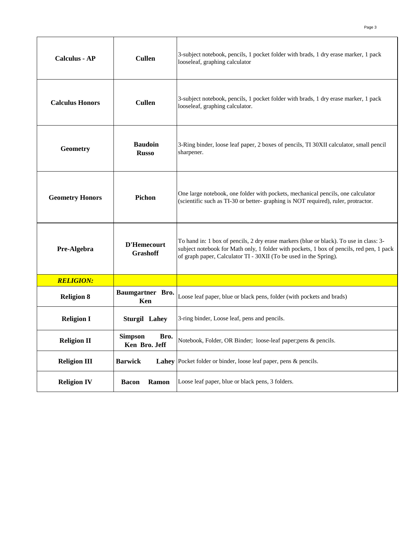| <b>Calculus - AP</b>   | <b>Cullen</b>                           | 3-subject notebook, pencils, 1 pocket folder with brads, 1 dry erase marker, 1 pack<br>looseleaf, graphing calculator                                                                                                                                   |
|------------------------|-----------------------------------------|---------------------------------------------------------------------------------------------------------------------------------------------------------------------------------------------------------------------------------------------------------|
| <b>Calculus Honors</b> | <b>Cullen</b>                           | 3-subject notebook, pencils, 1 pocket folder with brads, 1 dry erase marker, 1 pack<br>looseleaf, graphing calculator.                                                                                                                                  |
| Geometry               | <b>Baudoin</b><br><b>Russo</b>          | 3-Ring binder, loose leaf paper, 2 boxes of pencils, TI 30XII calculator, small pencil<br>sharpener.                                                                                                                                                    |
| <b>Geometry Honors</b> | Pichon                                  | One large notebook, one folder with pockets, mechanical pencils, one calculator<br>(scientific such as TI-30 or better- graphing is NOT required), ruler, protractor.                                                                                   |
| Pre-Algebra            | <b>D'Hemecourt</b><br><b>Grashoff</b>   | To hand in: 1 box of pencils, 2 dry erase markers (blue or black). To use in class: 3-<br>subject notebook for Math only, 1 folder with pockets, 1 box of pencils, red pen, 1 pack<br>of graph paper, Calculator TI - 30XII (To be used in the Spring). |
| <b>RELIGION:</b>       |                                         |                                                                                                                                                                                                                                                         |
| <b>Religion 8</b>      | Baumgartner Bro.<br>Ken                 | Loose leaf paper, blue or black pens, folder (with pockets and brads)                                                                                                                                                                                   |
| <b>Religion I</b>      | <b>Sturgil Lahey</b>                    | 3-ring binder, Loose leaf, pens and pencils.                                                                                                                                                                                                            |
| <b>Religion II</b>     | <b>Simpson</b><br>Bro.<br>Ken Bro. Jeff | Notebook, Folder, OR Binder; loose-leaf paper;pens & pencils.                                                                                                                                                                                           |
| <b>Religion III</b>    | <b>Barwick</b><br>Lahey                 | Pocket folder or binder, loose leaf paper, pens & pencils.                                                                                                                                                                                              |
| <b>Religion IV</b>     | <b>Ramon</b><br><b>Bacon</b>            | Loose leaf paper, blue or black pens, 3 folders.                                                                                                                                                                                                        |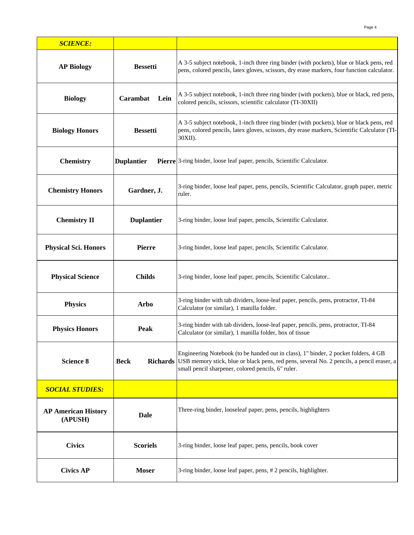| <b>SCIENCE:</b>                       |                                |                                                                                                                                                                                                                                        |
|---------------------------------------|--------------------------------|----------------------------------------------------------------------------------------------------------------------------------------------------------------------------------------------------------------------------------------|
| <b>AP Biology</b>                     | <b>Bessetti</b>                | A 3-5 subject notebook, 1-inch three ring binder (with pockets), blue or black pens, red<br>pens, colored pencils, latex gloves, scissors, dry erase markers, four function calculator.                                                |
| <b>Biology</b>                        | Carambat<br>Lein               | A 3-5 subject notebook, 1-inch three ring binder (with pockets), blue or black, red pens,<br>colored pencils, scissors, scientific calculator (TI-30XII)                                                                               |
| <b>Biology Honors</b>                 | <b>Bessetti</b>                | A 3-5 subject notebook, 1-inch three ring binder (with pockets), blue or black pens, red<br>pens, colored pencils, latex gloves, scissors, dry erase markers, Scientific Calculator (TI-<br>30XII).                                    |
| <b>Chemistry</b>                      | <b>Duplantier</b>              | Pierre 3-ring binder, loose leaf paper, pencils, Scientific Calculator.                                                                                                                                                                |
| <b>Chemistry Honors</b>               | Gardner, J.                    | 3-ring binder, loose leaf paper, pens, pencils, Scientific Calculator, graph paper, metric<br>ruler.                                                                                                                                   |
| <b>Chemistry II</b>                   | <b>Duplantier</b>              | 3-ring binder, loose leaf paper, pencils, Scientific Calculator.                                                                                                                                                                       |
| <b>Physical Sci. Honors</b>           | Pierre                         | 3-ring binder, loose leaf paper, pencils, Scientific Calculator.                                                                                                                                                                       |
| <b>Physical Science</b>               | <b>Childs</b>                  | 3-ring binder, loose leaf paper, pencils, Scientific Calculator                                                                                                                                                                        |
| <b>Physics</b>                        | <b>Arbo</b>                    | 3-ring binder with tab dividers, loose-leaf paper, pencils, pens, protractor, TI-84<br>Calculator (or similar), 1 manilla folder.                                                                                                      |
| <b>Physics Honors</b>                 | Peak                           | 3-ring binder with tab dividers, loose-leaf paper, pencils, pens, protractor, TI-84<br>Calculator (or similar), 1 manilla folder, box of tissue                                                                                        |
| <b>Science 8</b>                      | <b>Beck</b><br><b>Richards</b> | Engineering Notebook (to be handed out in class), 1" binder, 2 pocket folders, 4 GB<br>USB memory stick, blue or black pens, red pens, several No. 2 pencils, a pencil eraser, a<br>small pencil sharpener, colored pencils, 6" ruler. |
| <b>SOCIAL STUDIES:</b>                |                                |                                                                                                                                                                                                                                        |
| <b>AP American History</b><br>(APUSH) | <b>Dale</b>                    | Three-ring binder, looseleaf paper, pens, pencils, highlighters                                                                                                                                                                        |
| <b>Civics</b>                         | <b>Scoriels</b>                | 3-ring binder, loose leaf paper, pens, pencils, book cover                                                                                                                                                                             |
| <b>Civics AP</b>                      | <b>Moser</b>                   | 3-ring binder, loose leaf paper, pens, # 2 pencils, highlighter.                                                                                                                                                                       |

Page 4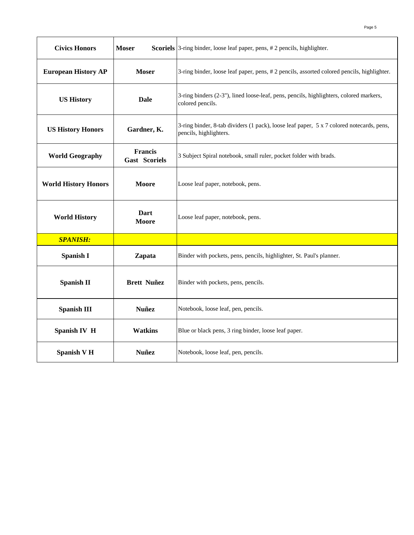| <b>Civics Honors</b>        | <b>Moser</b>                    | Scoriels 3-ring binder, loose leaf paper, pens, # 2 pencils, highlighter.                                          |
|-----------------------------|---------------------------------|--------------------------------------------------------------------------------------------------------------------|
| <b>European History AP</b>  | <b>Moser</b>                    | 3-ring binder, loose leaf paper, pens, #2 pencils, assorted colored pencils, highlighter.                          |
| <b>US History</b>           | <b>Dale</b>                     | 3-ring binders (2-3"), lined loose-leaf, pens, pencils, highlighters, colored markers,<br>colored pencils.         |
| <b>US History Honors</b>    | Gardner, K.                     | 3-ring binder, 8-tab dividers (1 pack), loose leaf paper, 5 x 7 colored notecards, pens,<br>pencils, highlighters. |
| <b>World Geography</b>      | Francis<br><b>Gast Scoriels</b> | 3 Subject Spiral notebook, small ruler, pocket folder with brads.                                                  |
| <b>World History Honors</b> | Moore                           | Loose leaf paper, notebook, pens.                                                                                  |
| <b>World History</b>        | Dart<br>Moore                   | Loose leaf paper, notebook, pens.                                                                                  |
| <b>SPANISH:</b>             |                                 |                                                                                                                    |
| <b>Spanish I</b>            | Zapata                          | Binder with pockets, pens, pencils, highlighter, St. Paul's planner.                                               |
| <b>Spanish II</b>           | <b>Brett Nuñez</b>              | Binder with pockets, pens, pencils.                                                                                |
| <b>Spanish III</b>          | <b>Nuñez</b>                    | Notebook, loose leaf, pen, pencils.                                                                                |
| Spanish IV H                | <b>Watkins</b>                  | Blue or black pens, 3 ring binder, loose leaf paper.                                                               |
| <b>Spanish V H</b>          | <b>Nuñez</b>                    | Notebook, loose leaf, pen, pencils.                                                                                |

Page 5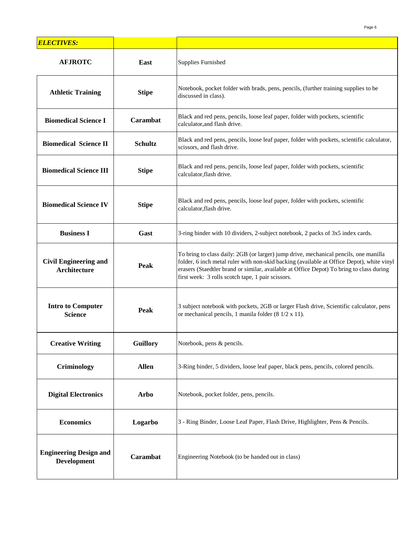| <b>ELECTIVES:</b>                                   |                 |                                                                                                                                                                                                                                                                                                                                    |
|-----------------------------------------------------|-----------------|------------------------------------------------------------------------------------------------------------------------------------------------------------------------------------------------------------------------------------------------------------------------------------------------------------------------------------|
| <b>AFJROTC</b>                                      | East            | <b>Supplies Furnished</b>                                                                                                                                                                                                                                                                                                          |
| <b>Athletic Training</b>                            | <b>Stipe</b>    | Notebook, pocket folder with brads, pens, pencils, (further training supplies to be<br>discussed in class).                                                                                                                                                                                                                        |
| <b>Biomedical Science I</b>                         | <b>Carambat</b> | Black and red pens, pencils, loose leaf paper, folder with pockets, scientific<br>calculator, and flash drive.                                                                                                                                                                                                                     |
| <b>Biomedical Science II</b>                        | <b>Schultz</b>  | Black and red pens, pencils, loose leaf paper, folder with pockets, scientific calculator,<br>scissors, and flash drive.                                                                                                                                                                                                           |
| <b>Biomedical Science III</b>                       | <b>Stipe</b>    | Black and red pens, pencils, loose leaf paper, folder with pockets, scientific<br>calculator, flash drive.                                                                                                                                                                                                                         |
| <b>Biomedical Science IV</b>                        | <b>Stipe</b>    | Black and red pens, pencils, loose leaf paper, folder with pockets, scientific<br>calculator, flash drive.                                                                                                                                                                                                                         |
| <b>Business I</b>                                   | Gast            | 3-ring binder with 10 dividers, 2-subject notebook, 2 packs of 3x5 index cards.                                                                                                                                                                                                                                                    |
| <b>Civil Engineering and</b><br><b>Architecture</b> | Peak            | To bring to class daily: 2GB (or larger) jump drive, mechanical pencils, one manilla<br>folder, 6 inch metal ruler with non-skid backing (available at Office Depot), white vinyl<br>erasers (Staedtler brand or similar, available at Office Depot) To bring to class during<br>first week: 3 rolls scotch tape, 1 pair scissors. |
| <b>Intro to Computer</b><br><b>Science</b>          | Peak            | 3 subject notebook with pockets, 2GB or larger Flash drive, Scientific calculator, pens<br>or mechanical pencils, 1 manila folder (8 1/2 x 11).                                                                                                                                                                                    |
| <b>Creative Writing</b>                             | <b>Guillory</b> | Notebook, pens & pencils.                                                                                                                                                                                                                                                                                                          |
| Criminology                                         | <b>Allen</b>    | 3-Ring binder, 5 dividers, loose leaf paper, black pens, pencils, colored pencils.                                                                                                                                                                                                                                                 |
| <b>Digital Electronics</b>                          | <b>Arbo</b>     | Notebook, pocket folder, pens, pencils.                                                                                                                                                                                                                                                                                            |
| <b>Economics</b>                                    | Logarbo         | 3 - Ring Binder, Loose Leaf Paper, Flash Drive, Highlighter, Pens & Pencils.                                                                                                                                                                                                                                                       |
| <b>Engineering Design and</b><br><b>Development</b> | Carambat        | Engineering Notebook (to be handed out in class)                                                                                                                                                                                                                                                                                   |

Page 6